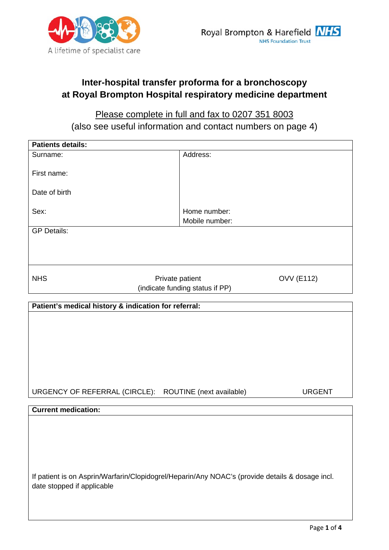

## **Inter-hospital transfer proforma for a bronchoscopy at Royal Brompton Hospital respiratory medicine department**

## Please complete in full and fax to 0207 351 8003 (also see useful information and contact numbers on page 4)

| <b>Patients details:</b>                                                                        |                                 |                   |
|-------------------------------------------------------------------------------------------------|---------------------------------|-------------------|
| Surname:                                                                                        | Address:                        |                   |
|                                                                                                 |                                 |                   |
| First name:                                                                                     |                                 |                   |
|                                                                                                 |                                 |                   |
| Date of birth                                                                                   |                                 |                   |
|                                                                                                 |                                 |                   |
|                                                                                                 |                                 |                   |
| Sex:                                                                                            | Home number:                    |                   |
|                                                                                                 | Mobile number:                  |                   |
| <b>GP Details:</b>                                                                              |                                 |                   |
|                                                                                                 |                                 |                   |
|                                                                                                 |                                 |                   |
|                                                                                                 |                                 |                   |
|                                                                                                 |                                 |                   |
|                                                                                                 |                                 |                   |
| <b>NHS</b><br>Private patient                                                                   |                                 | <b>OVV (E112)</b> |
|                                                                                                 | (indicate funding status if PP) |                   |
|                                                                                                 |                                 |                   |
| Patient's medical history & indication for referral:                                            |                                 |                   |
|                                                                                                 |                                 |                   |
|                                                                                                 |                                 |                   |
|                                                                                                 |                                 |                   |
|                                                                                                 |                                 |                   |
|                                                                                                 |                                 |                   |
|                                                                                                 |                                 |                   |
|                                                                                                 |                                 |                   |
|                                                                                                 |                                 |                   |
|                                                                                                 |                                 |                   |
|                                                                                                 |                                 |                   |
| URGENCY OF REFERRAL (CIRCLE): ROUTINE (next available)                                          |                                 | <b>URGENT</b>     |
|                                                                                                 |                                 |                   |
| <b>Current medication:</b>                                                                      |                                 |                   |
|                                                                                                 |                                 |                   |
|                                                                                                 |                                 |                   |
|                                                                                                 |                                 |                   |
|                                                                                                 |                                 |                   |
|                                                                                                 |                                 |                   |
|                                                                                                 |                                 |                   |
|                                                                                                 |                                 |                   |
|                                                                                                 |                                 |                   |
| If patient is on Asprin/Warfarin/Clopidogrel/Heparin/Any NOAC's (provide details & dosage incl. |                                 |                   |
| date stopped if applicable                                                                      |                                 |                   |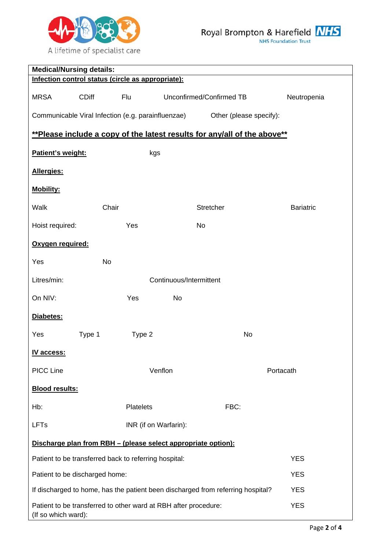

| <b>Medical/Nursing details:</b>                                                        |                                                                                               |                                                                          |                  |
|----------------------------------------------------------------------------------------|-----------------------------------------------------------------------------------------------|--------------------------------------------------------------------------|------------------|
| Infection control status (circle as appropriate):                                      |                                                                                               |                                                                          |                  |
| <b>MRSA</b><br><b>CDiff</b>                                                            | Flu                                                                                           | Unconfirmed/Confirmed TB                                                 | Neutropenia      |
| Communicable Viral Infection (e.g. parainfluenzae)                                     |                                                                                               | Other (please specify):                                                  |                  |
|                                                                                        |                                                                                               | **Please include a copy of the latest results for any/all of the above** |                  |
| Patient's weight:                                                                      | kgs                                                                                           |                                                                          |                  |
| Allergies:                                                                             |                                                                                               |                                                                          |                  |
| <b>Mobility:</b>                                                                       |                                                                                               |                                                                          |                  |
| <b>Walk</b>                                                                            | Chair                                                                                         | Stretcher                                                                | <b>Bariatric</b> |
| Hoist required:                                                                        | Yes                                                                                           | <b>No</b>                                                                |                  |
| Oxygen required:                                                                       |                                                                                               |                                                                          |                  |
| Yes                                                                                    | <b>No</b>                                                                                     |                                                                          |                  |
| Litres/min:                                                                            |                                                                                               | Continuous/Intermittent                                                  |                  |
| On NIV:                                                                                | Yes                                                                                           | No                                                                       |                  |
| Diabetes:                                                                              |                                                                                               |                                                                          |                  |
| Yes<br>Type 1                                                                          | Type 2                                                                                        | <b>No</b>                                                                |                  |
| IV access:                                                                             |                                                                                               |                                                                          |                  |
| <b>PICC Line</b>                                                                       | Venflon                                                                                       |                                                                          | Portacath        |
| <b>Blood results:</b>                                                                  |                                                                                               |                                                                          |                  |
| Hb:                                                                                    | <b>Platelets</b>                                                                              | FBC:                                                                     |                  |
| <b>LFTs</b>                                                                            | INR (if on Warfarin):                                                                         |                                                                          |                  |
|                                                                                        |                                                                                               | Discharge plan from RBH - (please select appropriate option):            |                  |
| Patient to be transferred back to referring hospital:                                  |                                                                                               |                                                                          | <b>YES</b>       |
|                                                                                        | <b>YES</b><br>Patient to be discharged home:                                                  |                                                                          |                  |
|                                                                                        | <b>YES</b><br>If discharged to home, has the patient been discharged from referring hospital? |                                                                          |                  |
| Patient to be transferred to other ward at RBH after procedure:<br>(If so which ward): |                                                                                               |                                                                          | <b>YES</b>       |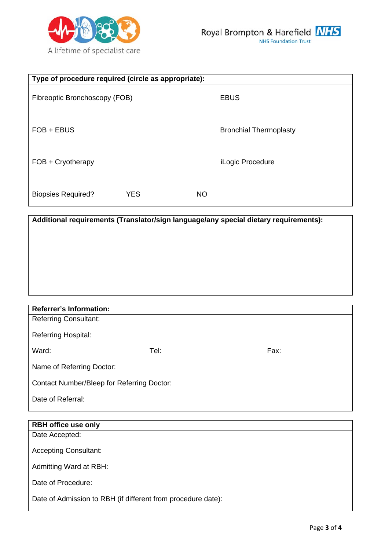

| Type of procedure required (circle as appropriate): |            |           |                               |
|-----------------------------------------------------|------------|-----------|-------------------------------|
| Fibreoptic Bronchoscopy (FOB)                       |            |           | <b>EBUS</b>                   |
| FOB + EBUS                                          |            |           | <b>Bronchial Thermoplasty</b> |
| FOB + Cryotherapy                                   |            |           | iLogic Procedure              |
| <b>Biopsies Required?</b>                           | <b>YES</b> | <b>NO</b> |                               |

| Additional requirements (Translator/sign language/any special dietary requirements): |  |  |
|--------------------------------------------------------------------------------------|--|--|
|                                                                                      |  |  |
|                                                                                      |  |  |
|                                                                                      |  |  |
|                                                                                      |  |  |
|                                                                                      |  |  |
|                                                                                      |  |  |

| <b>Referrer's Information:</b>             |      |      |
|--------------------------------------------|------|------|
| <b>Referring Consultant:</b>               |      |      |
| <b>Referring Hospital:</b>                 |      |      |
| Ward:                                      | Tel: | Fax: |
|                                            |      |      |
| Name of Referring Doctor:                  |      |      |
| Contact Number/Bleep for Referring Doctor: |      |      |
| Date of Referral:                          |      |      |
|                                            |      |      |

| <b>RBH office use only</b>                                   |
|--------------------------------------------------------------|
| Date Accepted:                                               |
|                                                              |
| <b>Accepting Consultant:</b>                                 |
|                                                              |
| Admitting Ward at RBH:                                       |
| Date of Procedure:                                           |
|                                                              |
| Date of Admission to RBH (if different from procedure date): |
|                                                              |